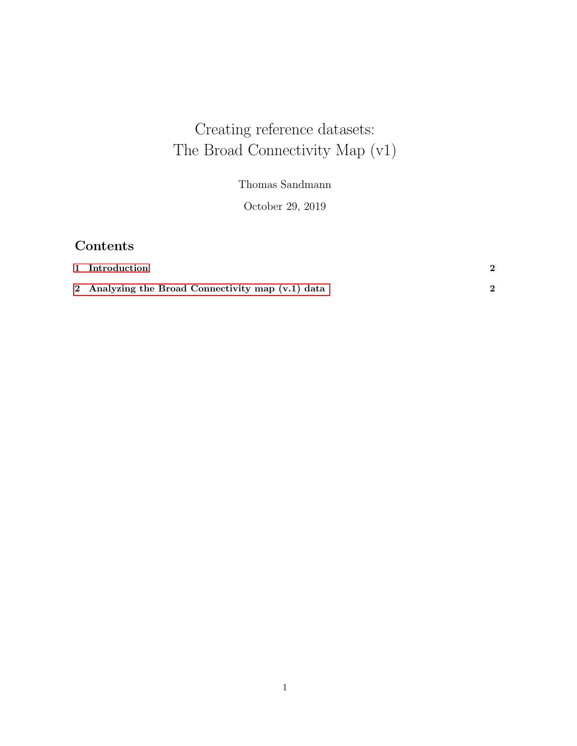# Creating reference datasets: The Broad Connectivity Map (v1)

Thomas Sandmann

October 29, 2019

## Contents

| 1 Introduction                                    |  |
|---------------------------------------------------|--|
| 2 Analyzing the Broad Connectivity map (v.1) data |  |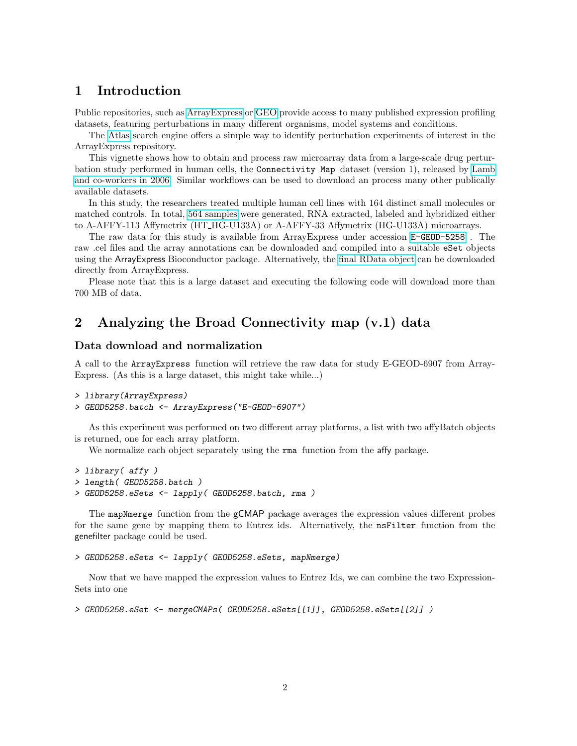### <span id="page-1-0"></span>1 Introduction

Public repositories, such as [ArrayExpress](http://www.ebi.ac.uk/arrayexpress/) or [GEO](http://www.ncbi.nlm.nih.gov/geo/) provide access to many published expression profiling datasets, featuring perturbations in many different organisms, model systems and conditions.

The [Atlas](http://www.ebi.ac.uk/gxa/) search engine offers a simple way to identify perturbation experiments of interest in the ArrayExpress repository.

This vignette shows how to obtain and process raw microarray data from a large-scale drug perturbation study performed in human cells, the Connectivity Map dataset (version 1), released by [Lamb](http://www.ncbi.nlm.nih.gov/pubmed/17008526) [and co-workers in 2006.](http://www.ncbi.nlm.nih.gov/pubmed/17008526) Similar workflows can be used to download an process many other publically available datasets.

In this study, the researchers treated multiple human cell lines with 164 distinct small molecules or matched controls. In total, [564 samples](http://www.ebi.ac.uk/arrayexpress/experiments/E-GEOD-5258/samples.html) were generated, RNA extracted, labeled and hybridized either to A-AFFY-113 Affymetrix (HT HG-U133A) or A-AFFY-33 Affymetrix (HG-U133A) microarrays.

The raw data for this study is available from ArrayExpress under accession [E-GEOD-5258](http://www.ebi.ac.uk/arrayexpress/experiments/E-GEOD-5258) . The raw .cel files and the array annotations can be downloaded and compiled into a suitable eSet objects using the ArrayExpress Bioconductor package. Alternatively, the [final RData object](http://www.ebi.ac.uk/arrayexpress/files/E-GEOD-5258/E-GEOD-5258.eSet.r) can be downloaded directly from ArrayExpress.

Please note that this is a large dataset and executing the following code will download more than 700 MB of data.

## <span id="page-1-1"></span>2 Analyzing the Broad Connectivity map (v.1) data

#### Data download and normalization

A call to the ArrayExpress function will retrieve the raw data for study E-GEOD-6907 from Array-Express. (As this is a large dataset, this might take while...)

```
> library(ArrayExpress)
```

```
> GEOD5258.batch <- ArrayExpress("E-GEOD-6907")
```
As this experiment was performed on two different array platforms, a list with two affyBatch objects is returned, one for each array platform.

We normalize each object separately using the **rma** function from the **affy** package.

```
> library( affy )
> length( GEOD5258.batch )
> GEOD5258.eSets <- lapply( GEOD5258.batch, rma )
```
The mapNmerge function from the gCMAP package averages the expression values different probes for the same gene by mapping them to Entrez ids. Alternatively, the nsFilter function from the genefilter package could be used.

```
> GEOD5258.eSets <- lapply( GEOD5258.eSets, mapNmerge)
```
Now that we have mapped the expression values to Entrez Ids, we can combine the two Expression-Sets into one

```
> GEOD5258.eSet <- mergeCMAPs( GEOD5258.eSets[[1]], GEOD5258.eSets[[2]] )
```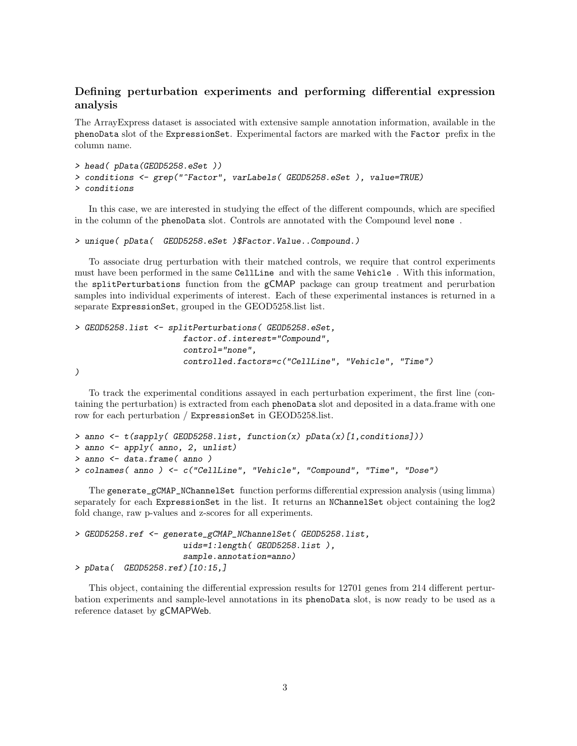#### Defining perturbation experiments and performing differential expression analysis

The ArrayExpress dataset is associated with extensive sample annotation information, available in the phenoData slot of the ExpressionSet. Experimental factors are marked with the Factor prefix in the column name.

```
> head( pData(GEOD5258.eSet ))
> conditions <- grep("^Factor", varLabels( GEOD5258.eSet ), value=TRUE)
> conditions
```
In this case, we are interested in studying the effect of the different compounds, which are specified in the column of the phenoData slot. Controls are annotated with the Compound level none .

```
> unique( pData( GEOD5258.eSet )$Factor.Value..Compound.)
```
To associate drug perturbation with their matched controls, we require that control experiments must have been performed in the same CellLine and with the same Vehicle . With this information, the splitPerturbations function from the gCMAP package can group treatment and perurbation samples into individual experiments of interest. Each of these experimental instances is returned in a separate ExpressionSet, grouped in the GEOD5258.list list.

```
> GEOD5258.list <- splitPerturbations( GEOD5258.eSet,
                       factor.of.interest="Compound",
                       control="none",
                       controlled.factors=c("CellLine", "Vehicle", "Time")
\lambda
```
To track the experimental conditions assayed in each perturbation experiment, the first line (containing the perturbation) is extracted from each phenoData slot and deposited in a data.frame with one row for each perturbation / ExpressionSet in GEOD5258.list.

```
> anno <- t(sapply( GEOD5258.list, function(x) pData(x)[1,conditions]))
> anno <- apply( anno, 2, unlist)
> anno <- data.frame( anno )
> colnames( anno ) <- c("CellLine", "Vehicle", "Compound", "Time", "Dose")
```
The generate\_gCMAP\_NChannelSet function performs differential expression analysis (using limma) separately for each ExpressionSet in the list. It returns an NChannelSet object containing the log2 fold change, raw p-values and z-scores for all experiments.

```
> GEOD5258.ref <- generate_gCMAP_NChannelSet( GEOD5258.list,
                      uids=1:length( GEOD5258.list ),
                      sample.annotation=anno)
> pData( GEOD5258.ref)[10:15,]
```
This object, containing the differential expression results for 12701 genes from 214 different perturbation experiments and sample-level annotations in its phenoData slot, is now ready to be used as a reference dataset by gCMAPWeb.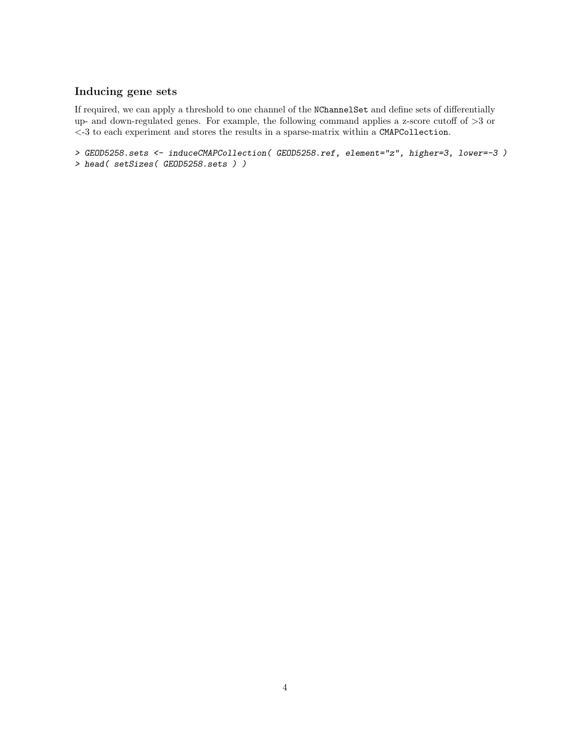#### Inducing gene sets

If required, we can apply a threshold to one channel of the NChannelSet and define sets of differentially up- and down-regulated genes. For example, the following command applies a z-score cutoff of  $>3$  or <-3 to each experiment and stores the results in a sparse-matrix within a CMAPCollection.

```
> GEOD5258.sets <- induceCMAPCollection( GEOD5258.ref, element="z", higher=3, lower=-3 )
> head( setSizes( GEOD5258.sets ) )
```